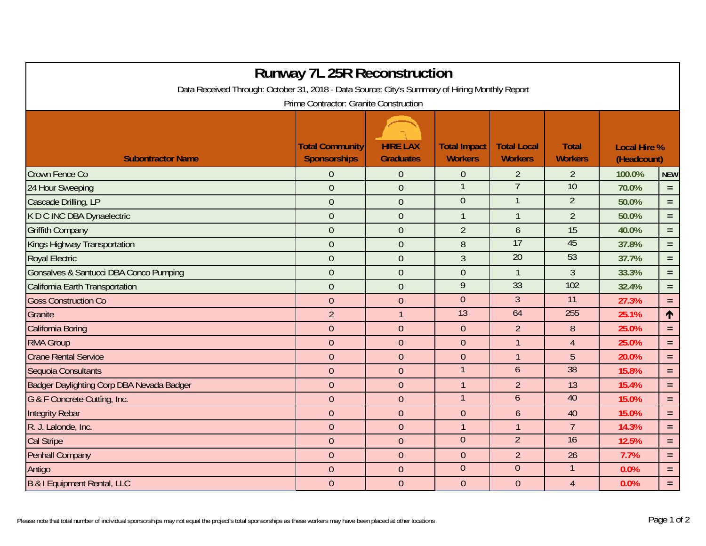| <b>Runway 7L 25R Reconstruction</b>                                                            |                                               |                                     |                                       |                                      |                                |                                    |            |  |  |  |  |  |  |
|------------------------------------------------------------------------------------------------|-----------------------------------------------|-------------------------------------|---------------------------------------|--------------------------------------|--------------------------------|------------------------------------|------------|--|--|--|--|--|--|
| Data Received Through: October 31, 2018 - Data Source: City's Summary of Hiring Monthly Report |                                               |                                     |                                       |                                      |                                |                                    |            |  |  |  |  |  |  |
| Prime Contractor: Granite Construction                                                         |                                               |                                     |                                       |                                      |                                |                                    |            |  |  |  |  |  |  |
| <b>Subontractor Name</b>                                                                       | <b>Total Community</b><br><b>Sponsorships</b> | <b>HIRE LAX</b><br><b>Graduates</b> | <b>Total Impact</b><br><b>Workers</b> | <b>Total Local</b><br><b>Workers</b> | <b>Total</b><br><b>Workers</b> | <b>Local Hire %</b><br>(Headcount) |            |  |  |  |  |  |  |
| Crown Fence Co                                                                                 | $\overline{0}$                                | $\mathbf{0}$                        | $\overline{0}$                        | $\overline{2}$                       | $\overline{2}$                 | 100.0%                             | <b>NEW</b> |  |  |  |  |  |  |
| 24 Hour Sweeping                                                                               | $\overline{0}$                                | $\overline{0}$                      |                                       | $\overline{7}$                       | 10                             | 70.0%                              | $=$        |  |  |  |  |  |  |
| Cascade Drilling, LP                                                                           | $\overline{0}$                                | $\mathbf 0$                         | $\mathbf{0}$                          | $\mathbf{1}$                         | $\overline{2}$                 | 50.0%                              | $\equiv$   |  |  |  |  |  |  |
| K D C INC DBA Dynaelectric                                                                     | $\overline{0}$                                | $\overline{0}$                      | 1                                     | $\mathbf{1}$                         | $\overline{2}$                 | 50.0%                              | $\equiv$   |  |  |  |  |  |  |
| <b>Griffith Company</b>                                                                        | $\overline{0}$                                | $\overline{0}$                      | $\overline{2}$                        | 6                                    | 15                             | 40.0%                              | $\equiv$   |  |  |  |  |  |  |
| Kings Highway Transportation                                                                   | $\overline{0}$                                | $\overline{0}$                      | 8                                     | 17                                   | 45                             | 37.8%                              | $\equiv$   |  |  |  |  |  |  |
| <b>Royal Electric</b>                                                                          | $\overline{0}$                                | $\overline{0}$                      | 3                                     | $\overline{20}$                      | 53                             | 37.7%                              | $=$        |  |  |  |  |  |  |
| Gonsalves & Santucci DBA Conco Pumping                                                         | $\overline{0}$                                | $\overline{0}$                      | $\overline{0}$                        | $\mathbf{1}$                         | $\overline{3}$                 | 33.3%                              | $\equiv$   |  |  |  |  |  |  |
| California Earth Transportation                                                                | $\overline{0}$                                | $\overline{0}$                      | 9                                     | 33                                   | 102                            | 32.4%                              | $\equiv$   |  |  |  |  |  |  |
| <b>Goss Construction Co</b>                                                                    | $\overline{0}$                                | $\overline{0}$                      | $\overline{0}$                        | $\mathfrak{Z}$                       | 11                             | 27.3%                              | $\equiv$   |  |  |  |  |  |  |
| Granite                                                                                        | $\overline{2}$                                | $\mathbf{1}$                        | 13                                    | 64                                   | 255                            | 25.1%                              | 1          |  |  |  |  |  |  |
| California Boring                                                                              | $\boldsymbol{0}$                              | $\theta$                            | $\mathbf{0}$                          | $\overline{2}$                       | 8                              | 25.0%                              | $\equiv$   |  |  |  |  |  |  |
| <b>RMA Group</b>                                                                               | $\overline{0}$                                | $\overline{0}$                      | $\overline{0}$                        | $\mathbf{1}$                         | $\overline{4}$                 | 25.0%                              | $\equiv$   |  |  |  |  |  |  |
| <b>Crane Rental Service</b>                                                                    | $\overline{0}$                                | $\overline{0}$                      | $\overline{0}$                        | $\mathbf{1}$                         | 5                              | 20.0%                              | $\equiv$   |  |  |  |  |  |  |
| Sequoia Consultants                                                                            | $\overline{0}$                                | $\overline{0}$                      |                                       | $\overline{6}$                       | 38                             | 15.8%                              | $\equiv$   |  |  |  |  |  |  |
| Badger Daylighting Corp DBA Nevada Badger                                                      | $\theta$                                      | $\mathbf{0}$                        | $\mathbf{1}$                          | $\overline{2}$                       | 13                             | 15.4%                              | $\equiv$   |  |  |  |  |  |  |
| G & F Concrete Cutting, Inc.                                                                   | $\overline{0}$                                | $\overline{0}$                      |                                       | $6\overline{6}$                      | 40                             | 15.0%                              | $\equiv$   |  |  |  |  |  |  |
| <b>Integrity Rebar</b>                                                                         | $\overline{0}$                                | $\overline{0}$                      | $\overline{0}$                        | $\mathfrak b$                        | 40                             | 15.0%                              | $=$        |  |  |  |  |  |  |
| R. J. Lalonde, Inc.                                                                            | $\overline{0}$                                | $\overline{0}$                      | $\mathbf{1}$                          | $\mathbf{1}$                         | $\overline{7}$                 | 14.3%                              | $\equiv$   |  |  |  |  |  |  |
| <b>Cal Stripe</b>                                                                              | $\overline{0}$                                | $\overline{0}$                      | $\overline{0}$                        | $\overline{2}$                       | $\overline{16}$                | 12.5%                              | $\equiv$   |  |  |  |  |  |  |
| Penhall Company                                                                                | $\overline{0}$                                | $\mathbf{0}$                        | $\overline{0}$                        | $\overline{2}$                       | 26                             | 7.7%                               | $\equiv$   |  |  |  |  |  |  |
| Antigo                                                                                         | $\overline{0}$                                | $\overline{0}$                      | $\mathbf 0$                           | $\mathbf{0}$                         | $\mathbf{1}$                   | 0.0%                               | $\equiv$   |  |  |  |  |  |  |
| B & I Equipment Rental, LLC                                                                    | $\overline{0}$                                | $\overline{0}$                      | $\mathbf 0$                           | $\boldsymbol{0}$                     | $\overline{4}$                 | 0.0%                               | $\equiv$   |  |  |  |  |  |  |